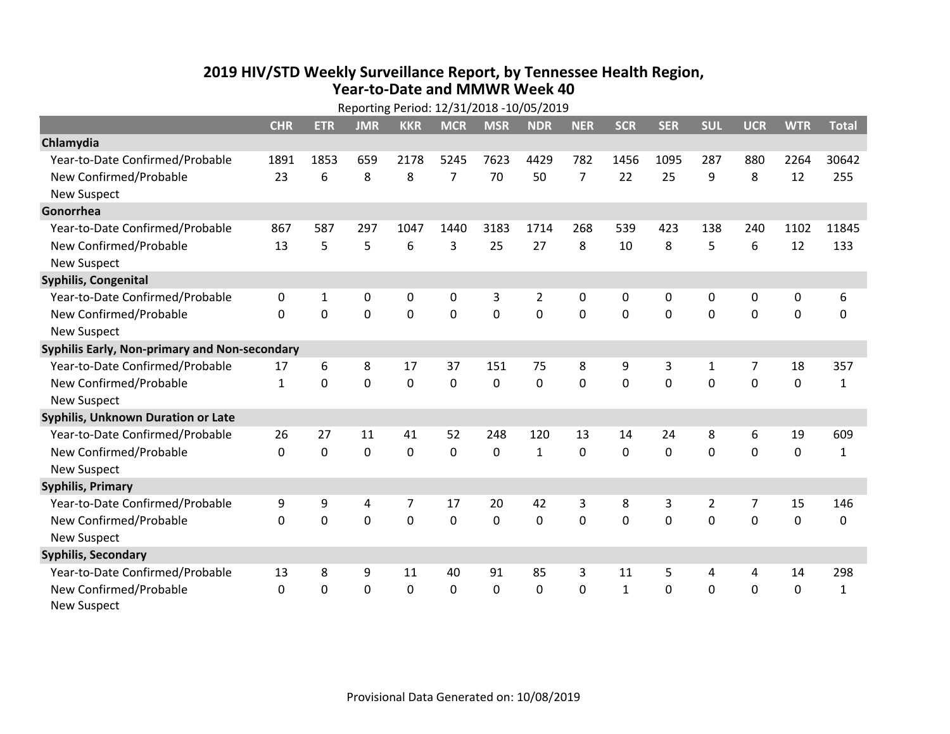## **2019 HIV /STD Weekly Surveillance Report, by Tennessee Health Region, Year‐to‐Date and MMWR Week 40** Reporting Period: 12/31/2018 ‐10/05/2019

| Reporting Period: 12/31/2018 -10/05/2019      |              |             |            |                |                |                |                |                |              |            |                |                |             |              |
|-----------------------------------------------|--------------|-------------|------------|----------------|----------------|----------------|----------------|----------------|--------------|------------|----------------|----------------|-------------|--------------|
|                                               | <b>CHR</b>   | <b>ETR</b>  | <b>JMR</b> | <b>KKR</b>     | <b>MCR</b>     | <b>MSR</b>     | <b>NDR</b>     | <b>NER</b>     | <b>SCR</b>   | <b>SER</b> | <b>SUL</b>     | <b>UCR</b>     | <b>WTR</b>  | <b>Total</b> |
| Chlamydia                                     |              |             |            |                |                |                |                |                |              |            |                |                |             |              |
| Year-to-Date Confirmed/Probable               | 1891         | 1853        | 659        | 2178           | 5245           | 7623           | 4429           | 782            | 1456         | 1095       | 287            | 880            | 2264        | 30642        |
| New Confirmed/Probable                        | 23           | 6           | 8          | 8              | $\overline{7}$ | 70             | 50             | $\overline{7}$ | 22           | 25         | 9              | 8              | 12          | 255          |
| <b>New Suspect</b>                            |              |             |            |                |                |                |                |                |              |            |                |                |             |              |
| Gonorrhea                                     |              |             |            |                |                |                |                |                |              |            |                |                |             |              |
| Year-to-Date Confirmed/Probable               | 867          | 587         | 297        | 1047           | 1440           | 3183           | 1714           | 268            | 539          | 423        | 138            | 240            | 1102        | 11845        |
| New Confirmed/Probable                        | 13           | 5           | 5          | 6              | 3              | 25             | 27             | 8              | 10           | 8          | 5              | 6              | 12          | 133          |
| <b>New Suspect</b>                            |              |             |            |                |                |                |                |                |              |            |                |                |             |              |
| <b>Syphilis, Congenital</b>                   |              |             |            |                |                |                |                |                |              |            |                |                |             |              |
| Year-to-Date Confirmed/Probable               | 0            | 1           | 0          | 0              | $\pmb{0}$      | 3              | $\overline{2}$ | 0              | 0            | 0          | 0              | 0              | 0           | 6            |
| New Confirmed/Probable                        | $\mathbf{0}$ | 0           | 0          | 0              | $\mathbf 0$    | $\overline{0}$ | 0              | $\mathbf 0$    | $\mathbf{0}$ | 0          | 0              | 0              | $\mathbf 0$ | $\Omega$     |
| <b>New Suspect</b>                            |              |             |            |                |                |                |                |                |              |            |                |                |             |              |
| Syphilis Early, Non-primary and Non-secondary |              |             |            |                |                |                |                |                |              |            |                |                |             |              |
| Year-to-Date Confirmed/Probable               | 17           | 6           | 8          | 17             | 37             | 151            | 75             | 8              | 9            | 3          | 1              | $\overline{7}$ | 18          | 357          |
| New Confirmed/Probable                        | $\mathbf{1}$ | 0           | $\Omega$   | 0              | $\mathbf 0$    | $\mathbf 0$    | $\Omega$       | $\Omega$       | $\Omega$     | $\Omega$   | $\Omega$       | $\Omega$       | $\mathbf 0$ | $\mathbf{1}$ |
| <b>New Suspect</b>                            |              |             |            |                |                |                |                |                |              |            |                |                |             |              |
| Syphilis, Unknown Duration or Late            |              |             |            |                |                |                |                |                |              |            |                |                |             |              |
| Year-to-Date Confirmed/Probable               | 26           | 27          | 11         | 41             | 52             | 248            | 120            | 13             | 14           | 24         | 8              | 6              | 19          | 609          |
| New Confirmed/Probable                        | $\Omega$     | $\mathbf 0$ | 0          | 0              | $\mathbf 0$    | 0              | $\mathbf{1}$   | $\Omega$       | $\Omega$     | $\Omega$   | $\Omega$       | 0              | $\mathbf 0$ | $\mathbf{1}$ |
| <b>New Suspect</b>                            |              |             |            |                |                |                |                |                |              |            |                |                |             |              |
| <b>Syphilis, Primary</b>                      |              |             |            |                |                |                |                |                |              |            |                |                |             |              |
| Year-to-Date Confirmed/Probable               | 9            | 9           | 4          | $\overline{7}$ | 17             | 20             | 42             | 3              | 8            | 3          | $\overline{2}$ | $\overline{7}$ | 15          | 146          |
| New Confirmed/Probable                        | $\Omega$     | 0           | 0          | 0              | $\mathbf 0$    | 0              | 0              | $\Omega$       | $\Omega$     | $\Omega$   | $\Omega$       | $\Omega$       | $\mathbf 0$ | 0            |
| <b>New Suspect</b>                            |              |             |            |                |                |                |                |                |              |            |                |                |             |              |
| <b>Syphilis, Secondary</b>                    |              |             |            |                |                |                |                |                |              |            |                |                |             |              |
| Year-to-Date Confirmed/Probable               | 13           | 8           | 9          | 11             | 40             | 91             | 85             | 3              | 11           | 5          | 4              | 4              | 14          | 298          |
| New Confirmed/Probable                        | 0            | 0           | 0          | 0              | $\mathbf 0$    | 0              | 0              | $\mathbf{0}$   | $\mathbf{1}$ | 0          | 0              | 0              | $\mathbf 0$ | $\mathbf{1}$ |
| <b>New Suspect</b>                            |              |             |            |                |                |                |                |                |              |            |                |                |             |              |